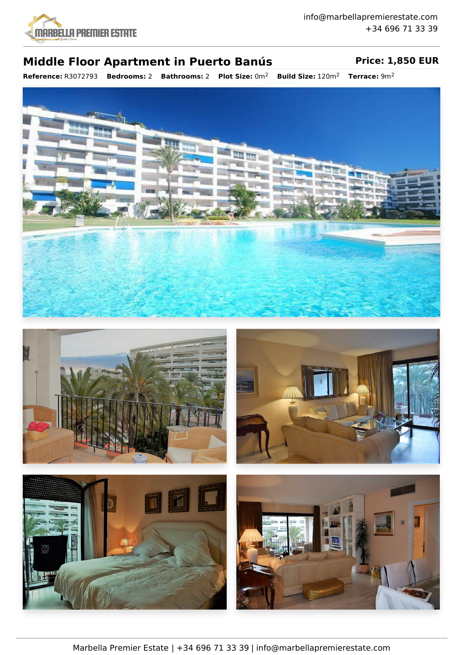

## **Middle Floor Apartment in Puerto Banús Price: 1,850 EUR**

**Reference:** R3072793 **Bedrooms:** 2 **Bathrooms:** 2 **Plot Size:** 0m<sup>2</sup> **Build Size:** 120m<sup>2</sup> **Terrace:** 9m<sup>2</sup>









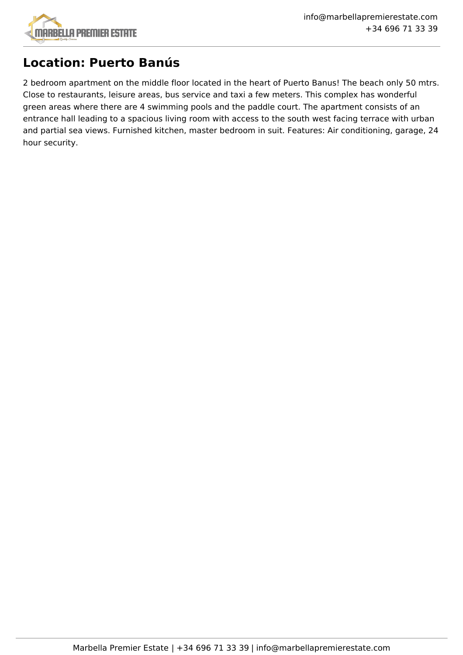

# **Location: Puerto Banús**

2 bedroom apartment on the middle floor located in the heart of Puerto Banus! The beach only 50 mtrs. Close to restaurants, leisure areas, bus service and taxi a few meters. This complex has wonderful green areas where there are 4 swimming pools and the paddle court. The apartment consists of an entrance hall leading to a spacious living room with access to the south west facing terrace with urban and partial sea views. Furnished kitchen, master bedroom in suit. Features: Air conditioning, garage, 24 hour security.